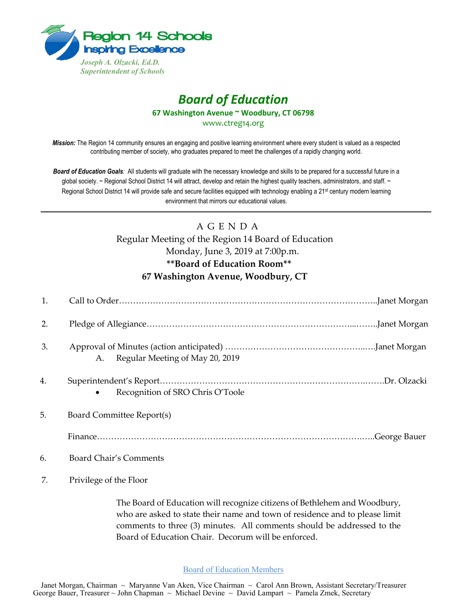

## *Board of Education*

**67 Washington Avenue ~ Woodbury, CT 06798**

www.ctreg14.org

*Mission:* The Region 14 community ensures an engaging and positive learning environment where every student is valued as a respected contributing member of society, who graduates prepared to meet the challenges of a rapidly changing world.

*Board of Education Goals:* All students will graduate with the necessary knowledge and skills to be prepared for a successful future in a global society. ~ Regional School District 14 will attract, develop and retain the highest quality teachers, administrators, and staff. ~ Regional School District 14 will provide safe and secure facilities equipped with technology enabling a 21<sup>st</sup> century modern learning environment that mirrors our educational values.

## A G E N D A Regular Meeting of the Region 14 Board of Education

## Monday, June 3, 2019 at 7:00p.m. **\*\*Board of Education Room\*\* 67 Washington Avenue, Woodbury, CT**

| 1. |                                    |
|----|------------------------------------|
| 2. |                                    |
| 3. | A. Regular Meeting of May 20, 2019 |
| 4. | Recognition of SRO Chris O'Toole   |
| 5. | Board Committee Report(s)          |
|    |                                    |
| 6. | Board Chair's Comments             |

7. Privilege of the Floor

The Board of Education will recognize citizens of Bethlehem and Woodbury, who are asked to state their name and town of residence and to please limit comments to three (3) minutes. All comments should be addressed to the Board of Education Chair. Decorum will be enforced.

## Board of Education Members